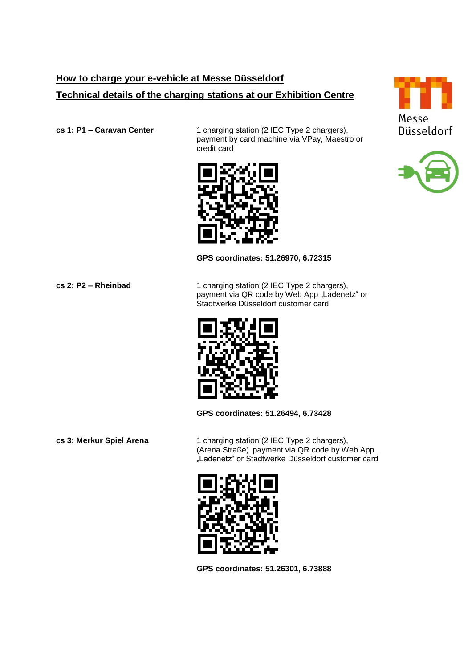## **How to charge your e-vehicle at Messe Düsseldorf Technical details of the charging stations at our Exhibition Centre**

**cs 1: P1 – Caravan Center** 1 charging station (2 IEC Type 2 chargers), payment by card machine via VPay, Maestro or credit card



## **GPS coordinates: 51.26970, 6.72315**

**cs 2: P2 – Rheinbad** 1 charging station (2 IEC Type 2 chargers), payment via QR code by Web App "Ladenetz" or Stadtwerke Düsseldorf customer card



**GPS coordinates: 51.26494, 6.73428**

**cs 3: Merkur Spiel Arena** 1 charging station (2 IEC Type 2 chargers), (Arena Straße) payment via QR code by Web App "Ladenetz" or Stadtwerke Düsseldorf customer card



**GPS coordinates: 51.26301, 6.73888**